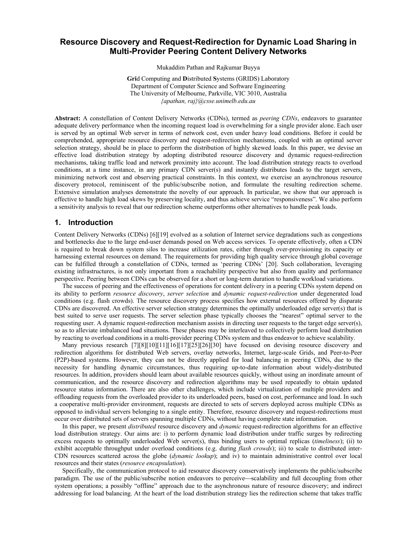# **Resource Discovery and Request-Redirection for Dynamic Load Sharing in Multi-Provider Peering Content Delivery Networks**

Mukaddim Pathan and Rajkumar Buyya

**Gri**d Computing and **D**istributed **S**ystems (GRIDS) Laboratory Department of Computer Science and Software Engineering The University of Melbourne, Parkville, VIC 3010, Australia *{apathan, raj}@csse.unimelb.edu.au* 

**Abstract:** A constellation of Content Delivery Networks (CDNs), termed as *peering CDNs*, endeavors to guarantee adequate delivery performance when the incoming request load is overwhelming for a single provider alone. Each user is served by an optimal Web server in terms of network cost, even under heavy load conditions. Before it could be comprehended, appropriate resource discovery and request-redirection mechanisms, coupled with an optimal server selection strategy, should be in place to perform the distribution of highly skewed loads. In this paper, we devise an effective load distribution strategy by adopting distributed resource discovery and dynamic request-redirection mechanisms, taking traffic load and network proximity into account. The load distribution strategy reacts to overload conditions, at a time instance, in any primary CDN server(s) and instantly distributes loads to the target servers, minimizing network cost and observing practical constraints. In this context, we exercise an asynchronous resource discovery protocol, reminiscent of the public/subscribe notion, and formulate the resulting redirection scheme. Extensive simulation analyses demonstrate the novelty of our approach. In particular, we show that our approach is effective to handle high load skews by preserving locality, and thus achieve service "responsiveness". We also perform a sensitivity analysis to reveal that our redirection scheme outperforms other alternatives to handle peak loads.

### **1. Introduction**

Content Delivery Networks (CDNs) [6][19] evolved as a solution of Internet service degradations such as congestions and bottlenecks due to the large end-user demands posed on Web access services. To operate effectively, often a CDN is required to break down system silos to increase utilization rates, either through over-provisioning its capacity or harnessing external resources on demand. The requirements for providing high quality service through global coverage can be fulfilled through a constellation of CDNs, termed as 'peering CDNs' [20]. Such collaboration, leveraging existing infrastructures, is not only important from a reachability perspective but also from quality and performance perspective. Peering between CDNs can be observed for a short or long-term duration to handle workload variations.

The success of peering and the effectiveness of operations for content delivery in a peering CDNs system depend on its ability to perform *resource discovery*, *server selection* and *dynamic request-redirection* under degenerated load conditions (e.g. flash crowds). The resource discovery process specifies how external resources offered by disparate CDNs are discovered. An effective server selection strategy determines the optimally underloaded edge server(s) that is best suited to serve user requests. The server selection phase typically chooses the "nearest" optimal server to the requesting user. A dynamic request-redirection mechanism assists in directing user requests to the target edge server(s), so as to alleviate imbalanced load situations. These phases may be interleaved to collectively perform load distribution by reacting to overload conditions in a multi-provider peering CDNs system and thus endeavor to achieve scalability.

Many previous research  $[7][8][10][11][16][17][25][26][30]$  have focused on devising resource discovery and redirection algorithms for distributed Web servers, overlay networks, Internet, large-scale Grids, and Peer-to-Peer (P2P)-based systems. However, they can not be directly applied for load balancing in peering CDNs, due to the necessity for handling dynamic circumstances, thus requiring up-to-date information about widely-distributed resources. In addition, providers should learn about available resources quickly, without using an inordinate amount of communication, and the resource discovery and redirection algorithms may be used repeatedly to obtain updated resource status information. There are also other challenges, which include virtualization of multiple providers and offloading requests from the overloaded provider to its underloaded peers, based on cost, performance and load. In such a cooperative multi-provider environment, requests are directed to sets of servers deployed across multiple CDNs as opposed to individual servers belonging to a single entity. Therefore, resource discovery and request-redirections must occur over distributed sets of servers spanning multiple CDNs, without having complete state information.

In this paper, we present *distributed* resource discovery and *dynamic* request-redirection algorithms for an effective load distribution strategy. Our aims are: i) to perform dynamic load distribution under traffic surges by redirecting excess requests to optimally underloaded Web server(s), thus binding users to optimal replicas (*timeliness*); (ii) to exhibit acceptable throughput under overload conditions (e.g. during *flash crowds*); iii) to scale to distributed inter-CDN resources scattered across the globe (*dynamic lookup*); and iv) to maintain administrative control over local resources and their states (*resource encapsulation*).

Specifically, the communication protocol to aid resource discovery conservatively implements the public/subscribe paradigm. The use of the public/subscribe notion endeavors to perceive—scalability and full decoupling from other system operations; a possibly "offline" approach due to the asynchronous nature of resource discovery; and indirect addressing for load balancing. At the heart of the load distribution strategy lies the redirection scheme that takes traffic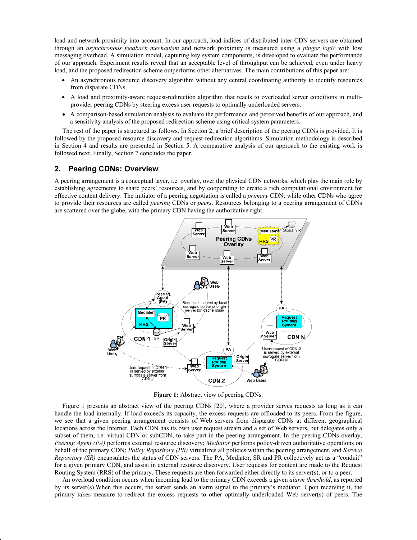load and network proximity into account. In our approach, load indices of distributed inter-CDN servers are obtained through an *asynchronous feedback mechanism* and network proximity is measured using a *pinger logic* with low messaging overhead. A simulation model, capturing key system components, is developed to evaluate the performance of our approach. Experiment results reveal that an acceptable level of throughput can be achieved, even under heavy load, and the proposed redirection scheme outperforms other alternatives. The main contributions of this paper are:

- An asynchronous resource discovery algorithm without any central coordinating authority to identify resources from disparate CDNs.
- A load and proximity-aware request-redirection algorithm that reacts to overloaded server conditions in multiprovider peering CDNs by steering excess user requests to optimally underloaded servers.
- A comparison-based simulation analysis to evaluate the performance and perceived benefits of our approach, and a sensitivity analysis of the proposed redirection scheme using critical system parameters.

The rest of the paper is structured as follows. In Section 2, a brief description of the peering CDNs is provided. It is followed by the proposed resource discovery and request-redirection algorithms. Simulation methodology is described in Section 4 and results are presented in Section 5. A comparative analysis of our approach to the existing work is followed next. Finally, Section 7 concludes the paper.

### **2. Peering CDNs: Overview**

A peering arrangement is a conceptual layer, i.e. overlay, over the physical CDN networks, which play the main role by establishing agreements to share peers' resources, and by cooperating to create a rich computational environment for effective content delivery. The initiator of a peering negotiation is called a *primary* CDN; while other CDNs who agree to provide their resources are called *peering* CDNs or *peers*. Resources belonging to a peering arrangement of CDNs are scattered over the globe, with the primary CDN having the authoritative right.



**Figure 1:** Abstract view of peering CDNs.

Figure 1 presents an abstract view of the peering CDNs [20], where a provider serves requests as long as it can handle the load internally. If load exceeds its capacity, the excess requests are offloaded to its peers. From the figure, we see that a given peering arrangement consists of Web servers from disparate CDNs at different geographical locations across the Internet. Each CDN has its own user request stream and a set of Web servers, but delegates only a subset of them, i.e. virtual CDN or subCDN, to take part in the peering arrangement. In the peering CDNs overlay, *Peering Agent (PA)* performs external resource discovery; *Mediator* performs policy-driven authoritative operations on behalf of the primary CDN; *Policy Repository (PR)* virtualizes all policies within the peering arrangement, and *Service Repository (SR)* encapsulates the status of CDN servers. The PA, Mediator, SR and PR collectively act as a "conduit" for a given primary CDN, and assist in external resource discovery. User requests for content are made to the Request Routing System (RRS) of the primary. These requests are then forwarded either directly to its server(s), or to a peer.

An overload condition occurs when incoming load to the primary CDN exceeds a given *alarm threshold*, as reported by its server(s).When this occurs, the server sends an alarm signal to the primary's mediator. Upon receiving it, the primary takes measure to redirect the excess requests to other optimally underloaded Web server(s) of peers. The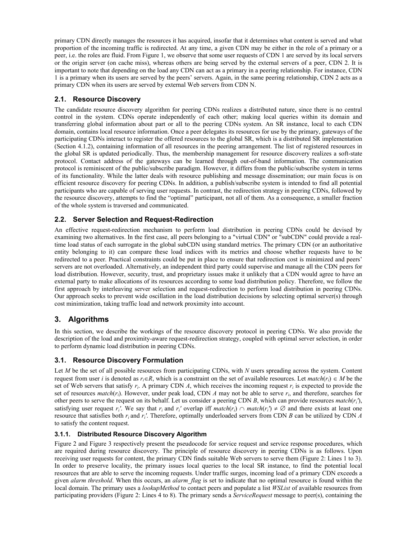primary CDN directly manages the resources it has acquired, insofar that it determines what content is served and what proportion of the incoming traffic is redirected. At any time, a given CDN may be either in the role of a primary or a peer, i.e. the roles are fluid. From Figure 1, we observe that some user requests of CDN 1 are served by its local servers or the origin server (on cache miss), whereas others are being served by the external servers of a peer, CDN 2. It is important to note that depending on the load any CDN can act as a primary in a peering relationship. For instance, CDN 1 is a primary when its users are served by the peers' servers. Again, in the same peering relationship, CDN 2 acts as a primary CDN when its users are served by external Web servers from CDN N.

# **2.1. Resource Discovery**

The candidate resource discovery algorithm for peering CDNs realizes a distributed nature, since there is no central control in the system. CDNs operate independently of each other; making local queries within its domain and transferring global information about part or all to the peering CDNs system. An SR instance, local to each CDN domain, contains local resource information. Once a peer delegates its resources for use by the primary, gateways of the participating CDNs interact to register the offered resources to the global SR, which is a distributed SR implementation (Section 4.1.2), containing information of all resources in the peering arrangement. The list of registered resources in the global SR is updated periodically. Thus, the membership management for resource discovery realizes a soft-state protocol. Contact address of the gateways can be learned through out-of-band information. The communication protocol is reminiscent of the public/subscribe paradigm. However, it differs from the public/subscribe system in terms of its functionality. While the latter deals with resource publishing and message dissemination; our main focus is on efficient resource discovery for peering CDNs. In addition, a publish/subscribe system is intended to find all potential participants who are capable of serving user requests. In contrast, the redirection strategy in peering CDNs, followed by the resource discovery, attempts to find the "optimal" participant, not all of them. As a consequence, a smaller fraction of the whole system is traversed and communicated.

# **2.2. Server Selection and Request-Redirection**

An effective request-redirection mechanism to perform load distribution in peering CDNs could be devised by examining two alternatives. In the first case, all peers belonging to a "virtual CDN" or "subCDN" could provide a realtime load status of each surrogate in the global subCDN using standard metrics. The primary CDN (or an authoritative entity belonging to it) can compare these load indices with its metrics and choose whether requests have to be redirected to a peer. Practical constraints could be put in place to ensure that redirection cost is minimized and peers' servers are not overloaded. Alternatively, an independent third party could supervise and manage all the CDN peers for load distribution. However, security, trust, and proprietary issues make it unlikely that a CDN would agree to have an external party to make allocations of its resources according to some load distribution policy. Therefore, we follow the first approach by interleaving server selection and request-redirection to perform load distribution in peering CDNs. Our approach seeks to prevent wide oscillation in the load distribution decisions by selecting optimal server(s) through cost minimization, taking traffic load and network proximity into account.

# **3. Algorithms**

In this section, we describe the workings of the resource discovery protocol in peering CDNs. We also provide the description of the load and proximity-aware request-redirection strategy, coupled with optimal server selection, in order to perform dynamic load distribution in peering CDNs.

# **3.1. Resource Discovery Formulation**

Let *M* be the set of all possible resources from participating CDNs, with *N* users spreading across the system. Content request from user *i* is denoted as  $r_i \in R$ , which is a constraint on the set of available resources. Let *match*( $r_i$ )  $\in$  *M* be the set of Web servers that satisfy  $r_i$ . A primary CDN  $\hat{A}$ , which receives the incoming request  $r_i$  is expected to provide the set of resources *match*( $r_i$ ). However, under peak load, CDN *A* may not be able to serve  $r_i$ , and therefore, searches for other peers to serve the request on its behalf. Let us consider a peering CDN *B*, which can provide resources *match*(*ri'*), satisfying user request *r<sub>i</sub>'*. We say that *r<sub>i</sub>* and *r<sub>i</sub>'* overlap iff *match*(*r<sub>i</sub>*)  $\cap$  *match*(*r<sub>i</sub>*)  $\neq \emptyset$  and there exists at least one resource that satisfies both *ri* and *ri'*. Therefore, optimally underloaded servers from CDN *B* can be utilized by CDN *A* to satisfy the content request.

### **3.1.1. Distributed Resource Discovery Algorithm**

Figure 2 and Figure 3 respectively present the pseudocode for service request and service response procedures, which are required during resource discovery. The principle of resource discovery in peering CDNs is as follows. Upon receiving user requests for content, the primary CDN finds suitable Web servers to serve them (Figure 2: Lines 1 to 3). In order to preserve locality, the primary issues local queries to the local SR instance, to find the potential local resources that are able to serve the incoming requests. Under traffic surges, incoming load of a primary CDN exceeds a given *alarm threshold*. When this occurs, an *alarm\_flag* is set to indicate that no optimal resource is found within the local domain. The primary uses a *lookupMethod* to contact peers and populate a list *WSList* of available resources from participating providers (Figure 2: Lines 4 to 8). The primary sends a *ServiceRequest* message to peer(s), containing the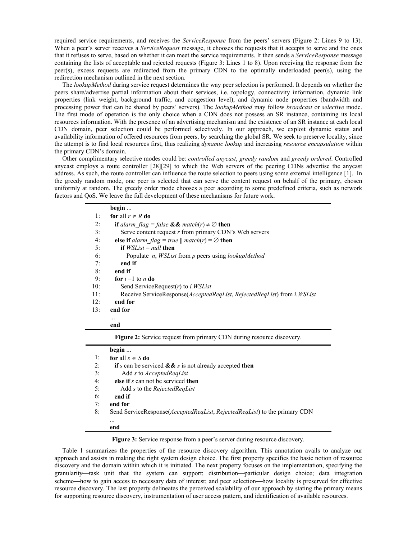required service requirements, and receives the *ServiceResponse* from the peers' servers (Figure 2: Lines 9 to 13). When a peer's server receives a *ServiceRequest* message, it chooses the requests that it accepts to serve and the ones that it refuses to serve, based on whether it can meet the service requirements. It then sends a *ServiceResponse* message containing the lists of acceptable and rejected requests (Figure 3: Lines 1 to 8). Upon receiving the response from the peer(s), excess requests are redirected from the primary CDN to the optimally underloaded peer(s), using the redirection mechanism outlined in the next section.

The *lookupMethod* during service request determines the way peer selection is performed. It depends on whether the peers share/advertise partial information about their services, i.e. topology, connectivity information, dynamic link properties (link weight, background traffic, and congestion level), and dynamic node properties (bandwidth and processing power that can be shared by peers' servers). The *lookupMethod* may follow *broadcast* or *selective* mode. The first mode of operation is the only choice when a CDN does not possess an SR instance, containing its local resources information. With the presence of an advertising mechanism and the existence of an SR instance at each local CDN domain, peer selection could be performed selectively. In our approach, we exploit dynamic status and availability information of offered resources from peers, by searching the global SR. We seek to preserve locality, since the attempt is to find local resources first, thus realizing *dynamic lookup* and increasing *resource encapsulation* within the primary CDN's domain.

Other complimentary selective modes could be: *controlled anycast*, *greedy random* and *greedy ordered*. Controlled anycast employs a route controller [28][29] to which the Web servers of the peering CDNs advertise the anycast address. As such, the route controller can influence the route selection to peers using some external intelligence [1]. In the greedy random mode, one peer is selected that can serve the content request on behalf of the primary, chosen uniformly at random. The greedy order mode chooses a peer according to some predefined criteria, such as network factors and QoS. We leave the full development of these mechanisms for future work.

|     | begin                                                                     |
|-----|---------------------------------------------------------------------------|
| 1:  | for all $r \in R$ do                                                      |
| 2:  | <b>if</b> alarm flag = false && match(r) $\neq \emptyset$ then            |
| 3:  | Serve content request $r$ from primary CDN's Web servers                  |
| 4:  | else if <i>alarm</i> $flag = true \parallel match(r) = \emptyset$ then    |
| 5:  | if $WSList = null$ then                                                   |
| 6:  | Populate n, WSList from p peers using lookupMethod                        |
| 7:  | end if                                                                    |
| 8:  | end if                                                                    |
| 9:  | for $i = 1$ to n do                                                       |
| 10: | Send ServiceRequest $(r)$ to <i>i. WSList</i>                             |
| 11: | Receive ServiceResponse(AcceptedReqList, RejectedReqList) from i.WSList   |
| 12: | end for                                                                   |
| 13: | end for                                                                   |
|     | $\cdots$                                                                  |
|     | end                                                                       |
|     | Figure 2: Service request from primary CDN during resource discovery.     |
|     | begin                                                                     |
| 1:  | for all $s \in S$ do                                                      |
| 2:  | if s can be serviced $\&\&$ s is not already accepted then                |
| 3:  | Add s to AcceptedReqList                                                  |
| 4:  | else if s can not be serviced then                                        |
| 5:  | Add s to the RejectedReqList                                              |
| 6:  | end if                                                                    |
| 7:  | end for                                                                   |
| 8:  | Send ServiceResponse(AcceptedReqList, RejectedReqList) to the primary CDN |
|     | .                                                                         |
|     | end                                                                       |

Figure 3: Service response from a peer's server during resource discovery.

Table 1 summarizes the properties of the resource discovery algorithm. This annotation avails to analyze our approach and assists in making the right system design choice. The first property specifies the basic notion of resource discovery and the domain within which it is initiated. The next property focuses on the implementation, specifying the granularity—task unit that the system can support; distribution—particular design choice; data integration scheme—how to gain access to necessary data of interest; and peer selection—how locality is preserved for effective resource discovery. The last property delineates the perceived scalability of our approach by stating the primary means for supporting resource discovery, instrumentation of user access pattern, and identification of available resources.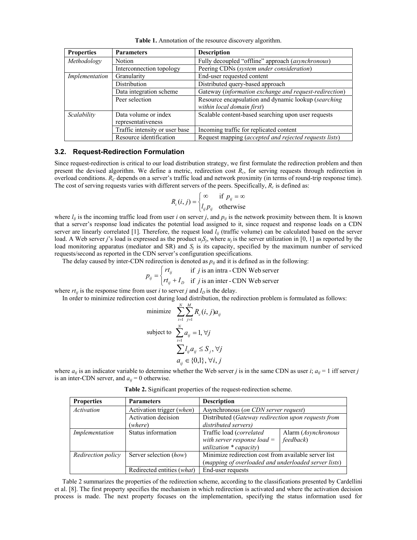| <b>Properties</b> | <b>Parameters</b>              | <b>Description</b>                                     |
|-------------------|--------------------------------|--------------------------------------------------------|
| Methodology       | Notion                         | Fully decoupled "offline" approach (asynchronous)      |
|                   | Interconnection topology       | Peering CDNs (system under consideration)              |
| Implementation    | Granularity                    | End-user requested content                             |
|                   | Distribution                   | Distributed query-based approach                       |
|                   | Data integration scheme        | Gateway (information exchange and request-redirection) |
|                   | Peer selection                 | Resource encapsulation and dynamic lookup (searching   |
|                   |                                | within local domain first)                             |
| Scalability       | Data volume or index           | Scalable content-based searching upon user requests    |
|                   | representativeness             |                                                        |
|                   | Traffic intensity or user base | Incoming traffic for replicated content                |
|                   | Resource identification        | Request mapping (accepted and rejected requests lists) |

**Table 1.** Annotation of the resource discovery algorithm.

#### **3.2. Request-Redirection Formulation**

Since request-redirection is critical to our load distribution strategy, we first formulate the redirection problem and then present the devised algorithm. We define a metric, redirection cost  $R_c$ , for serving requests through redirection in overload conditions. *R<sub>C</sub>* depends on a server's traffic load and network proximity (in terms of round-trip response time). The cost of serving requests varies with different servers of the peers. Specifically, *Rc* is defined as:

$$
R_c(i, j) = \begin{cases} \infty & \text{if } p_{ij} = \infty \\ l_{ij} p_{ij} & \text{otherwise} \end{cases}
$$

where  $l_{ij}$  is the incoming traffic load from user *i* on server *j*, and  $p_{ij}$  is the network proximity between them. It is known that a server's response load indicates the potential load assigned to it, since request and response loads on a CDN server are linearly correlated  $[1]$ . Therefore, the request load  $l_{ij}$  (traffic volume) can be calculated based on the server load. A Web server *j*'s load is expressed as the product  $u_jS_j$ , where  $u_j$  is the server utilization in [0, 1] as reported by the load monitoring apparatus (mediator and SR) and  $S_f$  is its capacity, specified by the maximum number of serviced requests/second as reported in the CDN server's configuration specifications.

The delay caused by inter-CDN redirection is denoted as  $p_{ij}$  and it is defined as in the following:

 $\overline{\mathfrak{l}}$ ⇃  $=\begin{cases} rt_{ij} \\ rt_{ij} + I_D \end{cases}$  $\int$  *ij*  $r t_{ii} + I$  $p_{ij} = \begin{cases} rt_{ij} & \text{if } j \text{ is an intra-CDN Web server} \\ rt_{ij} + I_D & \text{if } j \text{ is an inter-CDN Web server} \end{cases}$ if  $j$  is an intra - CDN Web server *j j*

where  $rt_{ij}$  is the response time from user *i* to server *j* and  $I_D$  is the delay.

In order to minimize redirection cost during load distribution, the redirection problem is formulated as follows:

minimize 
$$
\sum_{i=1}^{N} \sum_{j=1}^{M} R_c(i, j)a_{ij}
$$
  
subject to 
$$
\sum_{i=1}^{N} a_{ij} = 1, \forall j
$$

$$
\sum l_{ij} a_{ij} \leq S_j, \forall j
$$

$$
a_{ij} \in \{0,1\}, \forall i, j
$$

where  $a_{ij}$  is an indicator variable to determine whether the Web server *j* is in the same CDN as user *i*;  $a_{ij} = 1$  iff server *j* is an inter-CDN server, and  $a_{ij} = 0$  otherwise.

| <b>Properties</b>  | <b>Parameters</b>          | <b>Description</b>                                   |                     |
|--------------------|----------------------------|------------------------------------------------------|---------------------|
| Activation         | Activation trigger (when)  | Asynchronous (on CDN server request)                 |                     |
|                    | Activation decision        | Distributed (Gateway redirection upon requests from  |                     |
|                    | (where)                    | distributed servers)                                 |                     |
| Implementation     | Status information         | Traffic load (correlated                             | Alarm (Asynchronous |
|                    |                            | with server response load $=$                        | feedback)           |
|                    |                            | utilization $*$ capacity)                            |                     |
| Redirection policy | Server selection (how)     | Minimize redirection cost from available server list |                     |
|                    |                            | (mapping of overloaded and underloaded server lists) |                     |
|                    | Redirected entities (what) | End-user requests                                    |                     |

**Table 2.** Significant properties of the request-redirection scheme.

Table 2 summarizes the properties of the redirection scheme, according to the classifications presented by Cardellini et al. [8]. The first property specifies the mechanism in which redirection is activated and where the activation decision process is made. The next property focuses on the implementation, specifying the status information used for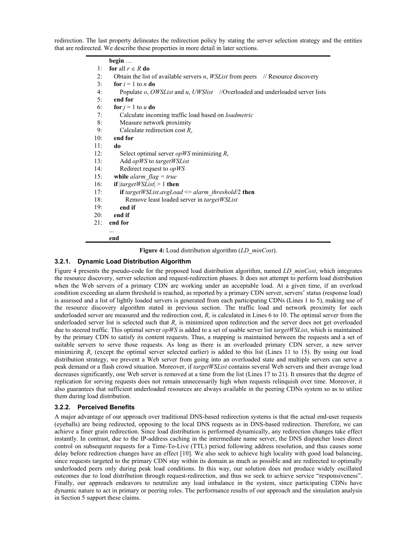redirection. The last property delineates the redirection policy by stating the server selection strategy and the entities that are redirected. We describe these properties in more detail in later sections.

|     | begin.                                                                                      |
|-----|---------------------------------------------------------------------------------------------|
| 1:  | for all $r \in R$ do                                                                        |
| 2:  | Obtain the list of available servers $n$ , <i>WSList</i> from peers $\#$ Resource discovery |
| 3:  | for $i = 1$ to n do                                                                         |
| 4:  | Populate o, OWSList and u, UWSlist //Overloaded and underloaded server lists                |
| 5:  | end for                                                                                     |
| 6:  | for $j = 1$ to u do                                                                         |
| 7:  | Calculate incoming traffic load based on loadmetric                                         |
| 8:  | Measure network proximity                                                                   |
| 9:  | Calculate redirection cost $R_c$                                                            |
| 10: | end for                                                                                     |
| 11: | do                                                                                          |
| 12: | Select optimal server <i>opWS</i> minimizing $R_c$                                          |
| 13: | Add opWS to targetWSList                                                                    |
| 14: | Redirect request to <i>opWS</i>                                                             |
| 15: | while <i>alarm</i> $flag = true$                                                            |
| 16: | if $ targetWSList  > 1$ then                                                                |
| 17: | if $targetWSList.argvLoad \leq alarm\_threshold/2$ then                                     |
| 18: | Remove least loaded server in target WSList                                                 |
| 19: | end if                                                                                      |
| 20: | end if                                                                                      |
| 21: | end for                                                                                     |
|     |                                                                                             |
|     | end                                                                                         |

**Figure 4:** Load distribution algorithm (*LD\_minCost*).

### **3.2.1. Dynamic Load Distribution Algorithm**

Figure 4 presents the pseudo-code for the proposed load distribution algorithm, named *LD\_minCost*, which integrates the resource discovery, server selection and request-redirection phases. It does not attempt to perform load distribution when the Web servers of a primary CDN are working under an acceptable load. At a given time, if an overload condition exceeding an alarm threshold is reached, as reported by a primary CDN server, servers' status (response load) is assessed and a list of lightly loaded servers is generated from each participating CDNs (Lines 1 to 5), making use of the resource discovery algorithm stated in previous section. The traffic load and network proximity for each underloaded server are measured and the redirection cost, *Rc* is calculated in Lines 6 to 10. The optimal server from the underloaded server list is selected such that *Rc* is minimized upon redirection and the server does not get overloaded due to steered traffic. This optimal server *opWS* is added to a set of usable server list *targetWSList*, which is maintained by the primary CDN to satisfy its content requests. Thus, a mapping is maintained between the requests and a set of suitable servers to serve those requests. As long as there is an overloaded primary CDN server, a new server minimizing *Rc* (except the optimal server selected earlier) is added to this list (Lines 11 to 15). By using our load distribution strategy, we prevent a Web server from going into an overloaded state and multiple servers can serve a peak demand or a flash crowd situation. Moreover, if *targetWSList* contains several Web servers and their average load decreases significantly, one Web server is removed at a time from the list (Lines 17 to 21). It ensures that the degree of replication for serving requests does not remain unnecessarily high when requests relinquish over time. Moreover, it also guarantees that sufficient underloaded resources are always available in the peering CDNs system so as to utilize them during load distribution.

### **3.2.2. Perceived Benefits**

A major advantage of our approach over traditional DNS-based redirection systems is that the actual end-user requests (eyeballs) are being redirected, opposing to the local DNS requests as in DNS-based redirection. Therefore, we can achieve a finer grain redirection. Since load distribution is performed dynamically, any redirection changes take effect instantly. In contrast, due to the IP-address caching in the intermediate name server, the DNS dispatcher loses direct control on subsequent requests for a Time-To-Live (TTL) period following address resolution, and thus causes some delay before redirection changes have an effect [10]. We also seek to achieve high locality with good load balancing, since requests targeted to the primary CDN stay within its domain as much as possible and are redirected to optimally underloaded peers only during peak load conditions. In this way, our solution does not produce widely oscillated outcomes due to load distribution through request-redirection, and thus we seek to achieve service "responsiveness". Finally, our approach endeavors to neutralize any load imbalance in the system, since participating CDNs have dynamic nature to act in primary or peering roles. The performance results of our approach and the simulation analysis in Section 5 support these claims.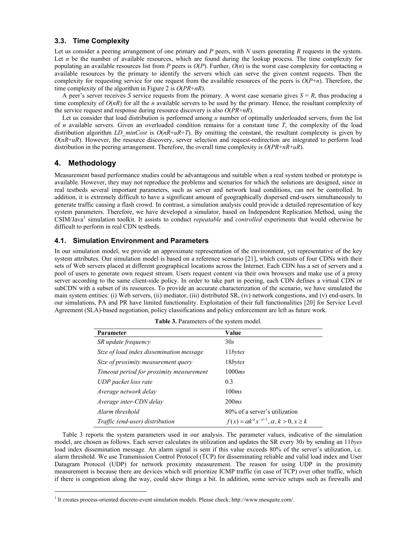### **3.3. Time Complexity**

Let us consider a peering arrangement of one primary and *P* peers, with *N* users generating *R* requests in the system. Let *n* be the number of available resources, which are found during the lookup process. The time complexity for populating an available resources list from *P* peers is  $O(P)$ . Further,  $O(n)$  is the worst case complexity for contacting *n* available resources by the primary to identify the servers which can serve the given content requests. Then the complexity for requesting service for one request from the available resources of the peers is  $O(P+n)$ . Therefore, the time complexity of the algorithm in Figure 2 is *O*(*PR*+*nR*).

A peer's server receives *S* service requests from the primary. A worst case scenario gives  $S = R$ , thus producing a time complexity of  $O(nR)$  for all the *n* available servers to be used by the primary. Hence, the resultant complexity of the service request and response during resource discovery is also *O*(*PR*+*nR*).

Let us consider that load distribution is performed among *u* number of optimally underloaded servers, from the list of *n* available servers. Given an overloaded condition remains for a constant time *T*, the complexity of the load distribution algorithm *LD\_minCost* is  $O(nR+uR+T)$ . By omitting the constant, the resultant complexity is given by *O*(*nR*+*uR*). However, the resource discovery, server selection and request-redirection are integrated to perform load distribution in the peering arrangement. Therefore, the overall time complexity is *O*(*PR*+*nR*+*uR*).

# **4. Methodology**

 $\overline{a}$ 

Measurement based performance studies could be advantageous and suitable when a real system testbed or prototype is available. However, they may not reproduce the problems and scenarios for which the solutions are designed, since in real testbeds several important parameters, such as server and network load conditions, can not be controlled. In addition, it is extremely difficult to have a significant amount of geographically dispersed end-users simultaneously to generate traffic causing a flash crowd. In contrast, a simulation analysis could provide a detailed representation of key system parameters. Therefore, we have developed a simulator, based on Independent Replication Method, using the CSIM/Java<sup>1</sup> simulation toolkit. It assists to conduct *repeatable* and *controlled* experiments that would otherwise be difficult to perform in real CDN testbeds.

### **4.1. Simulation Environment and Parameters**

In our simulation model, we provide an approximate representation of the environment, yet representative of the key system attributes. Our simulation model is based on a reference scenario [21], which consists of four CDNs with their sets of Web servers placed at different geographical locations across the Internet. Each CDN has a set of servers and a pool of users to generate own request stream. Users request content via their own browsers and make use of a proxy server according to the same client-side policy. In order to take part in peering, each CDN defines a virtual CDN or subCDN with a subset of its resources. To provide an accurate characterization of the scenario, we have simulated the main system entities: (i) Web servers, (ii) mediator, (iii) distributed SR, (iv) network congestions, and (v) end-users. In our simulations, PA and PR have limited functionality. Exploitation of their full functionalities [20] for Service Level Agreement (SLA)-based negotiation, policy classifications and policy enforcement are left as future work.

| <b>Parameter</b>                         | Value                                                            |
|------------------------------------------|------------------------------------------------------------------|
| SR update frequency                      | 30s                                                              |
| Size of load index dissemination message | 11bytes                                                          |
| Size of proximity measurement query      | 18 <i>bytes</i>                                                  |
| Timeout period for proximity measurement | 1000ms                                                           |
| UDP packet loss rate                     | 0.3                                                              |
| Average network delay                    | 100ms                                                            |
| Average inter-CDN delay                  | 200ms                                                            |
| Alarm threshold                          | 80% of a server's utilization                                    |
| Traffic (end-user) distribution          | $f(x) = \alpha k^{\alpha} x^{-\alpha-1}, \alpha, k > 0, x \ge k$ |

**Table 3.** Parameters of the system model.

Table 3 reports the system parameters used in our analysis. The parameter values, indicative of the simulation model, are chosen as follows. Each server calculates its utilization and updates the SR every 30*s* by sending an 11*byes* load index dissemination message. An alarm signal is sent if this value exceeds 80% of the server's utilization, i.e. alarm threshold. We use Transmission Control Protocol (TCP) for disseminating reliable and valid load index and User Datagram Protocol (UDP) for network proximity measurement. The reason for using UDP in the proximity measurement is because there are devices which will prioritize ICMP traffic (in case of TCP) over other traffic, which if there is congestion along the way, could skew things a bit. In addition, some service setups such as firewalls and

<sup>&</sup>lt;sup>1</sup> It creates process-oriented discrete-event simulation models. Please check: http://www.mesquite.com/.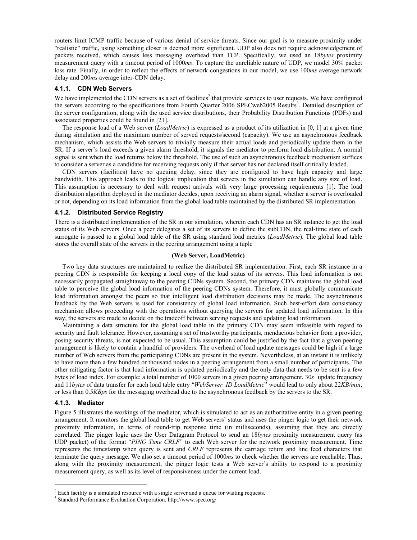routers limit ICMP traffic because of various denial of service threats. Since our goal is to measure proximity under "realistic" traffic, using something closer is deemed more significant. UDP also does not require acknowledgement of packets received, which causes less messaging overhead than TCP. Specifically, we used an 18*bytes* proximity measurement query with a timeout period of 1000*ms*. To capture the unreliable nature of UDP, we model 30% packet loss rate. Finally, in order to reflect the effects of network congestions in our model, we use 100*ms* average network delay and 200*ms* average inter-CDN delay.

#### **4.1.1. CDN Web Servers**

We have implemented the CDN servers as a set of facilities<sup>2</sup> that provide services to user requests. We have configured the servers according to the specifications from Fourth Quarter 2006 SPECweb2005 Results<sup>3</sup>. Detailed description of the server configuration, along with the used service distributions, their Probability Distribution Functions (PDFs) and associated properties could be found in [21].

The response load of a Web server (*LoadMetric*) is expressed as a product of its utilization in [0, 1] at a given time during simulation and the maximum number of served requests/second (capacity). We use an asynchronous feedback mechanism, which assists the Web servers to trivially measure their actual loads and periodically update them in the SR. If a server's load exceeds a given alarm threshold, it signals the mediator to perform load distribution. A normal signal is sent when the load returns below the threshold. The use of such an asynchronous feedback mechanism suffices to consider a server as a candidate for receiving requests only if that server has not declared itself critically loaded.

CDN servers (facilities) have no queuing delay, since they are configured to have high capacity and large bandwidth. This approach leads to the logical implication that servers in the simulation can handle any size of load. This assumption is necessary to deal with request arrivals with very large processing requirements [1]. The load distribution algorithm deployed in the mediator decides, upon receiving an alarm signal, whether a server is overloaded or not, depending on its load information from the global load table maintained by the distributed SR implementation.

#### **4.1.2. Distributed Service Registry**

There is a distributed implementation of the SR in our simulation, wherein each CDN has an SR instance to get the load status of its Web servers. Once a peer delegates a set of its servers to define the subCDN, the real-time state of each surrogate is passed to a global load table of the SR using standard load metrics (*LoadMetric*). The global load table stores the overall state of the servers in the peering arrangement using a tuple

#### **(Web Server, LoadMetric)**

Two key data structures are maintained to realize the distributed SR implementation. First, each SR instance in a peering CDN is responsible for keeping a local copy of the load status of its servers. This load information is not necessarily propagated straightaway to the peering CDNs system. Second, the primary CDN maintains the global load table to perceive the global load information of the peering CDNs system. Therefore, it must globally communicate load information amongst the peers so that intelligent load distribution decisions may be made. The asynchronous feedback by the Web servers is used for consistency of global load information. Such best-effort data consistency mechanism allows proceeding with the operations without querying the servers for updated load information. In this way, the servers are made to decide on the tradeoff between serving requests and updating load information.

Maintaining a data structure for the global load table in the primary CDN may seem infeasible with regard to security and fault tolerance. However, assuming a set of trustworthy participants, mendacious behavior from a provider, posing security threats, is not expected to be usual. This assumption could be justified by the fact that a given peering arrangement is likely to contain a handful of providers. The overhead of load update messages could be high if a large number of Web servers from the participating CDNs are present in the system. Nevertheless, at an instant it is unlikely to have more than a few hundred or thousand nodes in a peering arrangement from a small number of participants. The other mitigating factor is that load information is updated periodically and the only data that needs to be sent is a few bytes of load index. For example: a total number of 1000 servers in a given peering arrangement, 30*s* update frequency and 11*bytes* of data transfer for each load table entry "*WebServer\_ID LoadMetric*" would lead to only about 22*KB/min*, or less than 0.5*KBps* for the messaging overhead due to the asynchronous feedback by the servers to the SR.

#### **4.1.3. Mediator**

 $\overline{a}$ 

Figure 5 illustrates the workings of the mediator, which is simulated to act as an authoritative entity in a given peering arrangement. It monitors the global load table to get Web servers' status and uses the pinger logic to get their network proximity information, in terms of round-trip response time (in milliseconds), assuming that they are directly correlated. The pinger logic uses the User Datagram Protocol to send an 18*bytes* proximity measurement query (as UDP packet) of the format "*PING Time CRLF*" to each Web server for the network proximity measurement. Time represents the timestamp when query is sent and *CRLF* represents the carriage return and line feed characters that terminate the query message. We also set a timeout period of 1000*ms* to check whether the servers are reachable. Thus, along with the proximity measurement, the pinger logic tests a Web server's ability to respond to a proximity measurement query, as well as its level of responsiveness under the current load.

<sup>&</sup>lt;sup>2</sup> Each facility is a simulated resource with a single server and a queue for waiting requests.

 $3$ Standard Performance Evaluation Corporation. http://www.spec.org/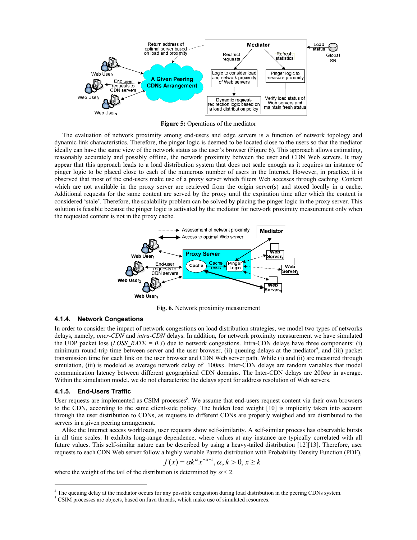

**Figure 5:** Operations of the mediator

The evaluation of network proximity among end-users and edge servers is a function of network topology and dynamic link characteristics. Therefore, the pinger logic is deemed to be located close to the users so that the mediator ideally can have the same view of the network status as the user's browser (Figure 6). This approach allows estimating, reasonably accurately and possibly offline, the network proximity between the user and CDN Web servers. It may appear that this approach leads to a load distribution system that does not scale enough as it requires an instance of pinger logic to be placed close to each of the numerous number of users in the Internet. However, in practice, it is observed that most of the end-users make use of a proxy server which filters Web accesses through caching. Content which are not available in the proxy server are retrieved from the origin server(s) and stored locally in a cache. Additional requests for the same content are served by the proxy until the expiration time after which the content is considered 'stale'. Therefore, the scalability problem can be solved by placing the pinger logic in the proxy server. This solution is feasible because the pinger logic is activated by the mediator for network proximity measurement only when the requested content is not in the proxy cache.



**Fig. 6.** Network proximity measurement

### **4.1.4. Network Congestions**

In order to consider the impact of network congestions on load distribution strategies, we model two types of networks delays, namely, *inter-CDN* and *intra-CDN* delays. In addition, for network proximity measurement we have simulated the UDP packet loss (*LOSS RATE = 0.3*) due to network congestions. Intra-CDN delays have three components: (i) minimum round-trip time between server and the user browser, (ii) queuing delays at the mediator<sup>4</sup>, and (iii) packet transmission time for each link on the user browser and CDN Web server path. While (i) and (ii) are measured through simulation, (iii) is modeled as average network delay of 100*ms*. Inter-CDN delays are random variables that model communication latency between different geographical CDN domains. The Inter-CDN delays are 200*ms* in average. Within the simulation model, we do not characterize the delays spent for address resolution of Web servers.

#### **4.1.5. End-Users Traffic**

 $\overline{a}$ 

User requests are implemented as CSIM processes<sup>5</sup>. We assume that end-users request content via their own browsers to the CDN, according to the same client-side policy. The hidden load weight [10] is implicitly taken into account through the user distribution to CDNs, as requests to different CDNs are properly weighed and are distributed to the servers in a given peering arrangement.

Alike the Internet access workloads, user requests show self-similarity. A self-similar process has observable bursts in all time scales. It exhibits long-range dependence, where values at any instance are typically correlated with all future values. This self-similar nature can be described by using a heavy-tailed distribution [12][13]. Therefore, user requests to each CDN Web server follow a highly variable Pareto distribution with Probability Density Function (PDF),

$$
f(x) = \alpha k^{\alpha} x^{-\alpha - 1}, \alpha, k > 0, x \ge k
$$

where the weight of the tail of the distribution is determined by  $\alpha < 2$ .

<sup>&</sup>lt;sup>4</sup> The queuing delay at the mediator occurs for any possible congestion during load distribution in the peering CDNs system.

<sup>&</sup>lt;sup>5</sup> CSIM processes are objects, based on Java threads, which make use of simulated resources.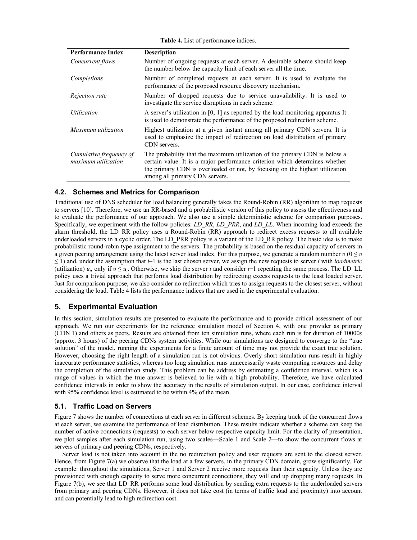**Table 4.** List of performance indices.

| <b>Performance Index</b>                       | <b>Description</b>                                                                                                                                                                                                                                                          |
|------------------------------------------------|-----------------------------------------------------------------------------------------------------------------------------------------------------------------------------------------------------------------------------------------------------------------------------|
| Concurrent flows                               | Number of ongoing requests at each server. A desirable scheme should keep<br>the number below the capacity limit of each server all the time.                                                                                                                               |
| Completions                                    | Number of completed requests at each server. It is used to evaluate the<br>performance of the proposed resource discovery mechanism.                                                                                                                                        |
| Rejection rate                                 | Number of dropped requests due to service unavailability. It is used to<br>investigate the service disruptions in each scheme.                                                                                                                                              |
| <i>Utilization</i>                             | A server's utilization in $[0, 1]$ as reported by the load monitoring apparatus It<br>is used to demonstrate the performance of the proposed redirection scheme.                                                                                                            |
| Maximum utilization                            | Highest utilization at a given instant among all primary CDN servers. It is<br>used to emphasize the impact of redirection on load distribution of primary<br>CDN servers.                                                                                                  |
| Cumulative frequency of<br>maximum utilization | The probability that the maximum utilization of the primary CDN is below a<br>certain value. It is a major performance criterion which determines whether<br>the primary CDN is overloaded or not, by focusing on the highest utilization<br>among all primary CDN servers. |

### **4.2. Schemes and Metrics for Comparison**

Traditional use of DNS scheduler for load balancing generally takes the Round-Robin (RR) algorithm to map requests to servers [10]. Therefore, we use an RR-based and a probabilistic version of this policy to assess the effectiveness and to evaluate the performance of our approach. We also use a simple deterministic scheme for comparison purposes. Specifically, we experiment with the follow policies: *LD\_RR*, *LD\_PRR*, and *LD\_LL*. When incoming load exceeds the alarm threshold, the LD\_RR policy uses a Round-Robin (RR) approach to redirect excess requests to all available underloaded servers in a cyclic order. The LD\_PRR policy is a variant of the LD\_RR policy. The basic idea is to make probabilistic round-robin type assignment to the servers. The probability is based on the residual capacity of servers in a given peering arrangement using the latest server load index. For this purpose, we generate a random number *υ* (0 ≤ *υ*  $\leq$  1) and, under the assumption that *i*–1 is the last chosen server, we assign the new requests to server *i* with *loadmetric* (utilization)  $u_i$ , only if  $v \leq u_i$ . Otherwise, we skip the server *i* and consider *i*+1 repeating the same process. The LD\_LL policy uses a trivial approach that performs load distribution by redirecting excess requests to the least loaded server. Just for comparison purpose, we also consider no redirection which tries to assign requests to the closest server, without considering the load. Table 4 lists the performance indices that are used in the experimental evaluation.

## **5. Experimental Evaluation**

In this section, simulation results are presented to evaluate the performance and to provide critical assessment of our approach. We run our experiments for the reference simulation model of Section 4, with one provider as primary (CDN 1) and others as peers. Results are obtained from ten simulation runs, where each run is for duration of 10000*s* (approx. 3 hours) of the peering CDNs system activities. While our simulations are designed to converge to the "true solution" of the model, running the experiments for a finite amount of time may not provide the exact true solution. However, choosing the right length of a simulation run is not obvious. Overly short simulation runs result in highly inaccurate performance statistics, whereas too long simulation runs unnecessarily waste computing resources and delay the completion of the simulation study. This problem can be address by estimating a confidence interval, which is a range of values in which the true answer is believed to lie with a high probability. Therefore, we have calculated confidence intervals in order to show the accuracy in the results of simulation output. In our case, confidence interval with 95% confidence level is estimated to be within 4% of the mean.

### **5.1. Traffic Load on Servers**

Figure 7 shows the number of connections at each server in different schemes. By keeping track of the concurrent flows at each server, we examine the performance of load distribution. These results indicate whether a scheme can keep the number of active connections (requests) to each server below respective capacity limit. For the clarity of presentation, we plot samples after each simulation run, using two scales—Scale 1 and Scale  $2$ —to show the concurrent flows at servers of primary and peering CDNs, respectively.

Server load is not taken into account in the no redirection policy and user requests are sent to the closest server. Hence, from Figure 7(a) we observe that the load at a few servers, in the primary CDN domain, grow significantly. For example: throughout the simulations, Server 1 and Server 2 receive more requests than their capacity. Unless they are provisioned with enough capacity to serve more concurrent connections, they will end up dropping many requests. In Figure 7(b), we see that LD\_RR performs some load distribution by sending extra requests to the underloaded servers from primary and peering CDNs. However, it does not take cost (in terms of traffic load and proximity) into account and can potentially lead to high redirection cost.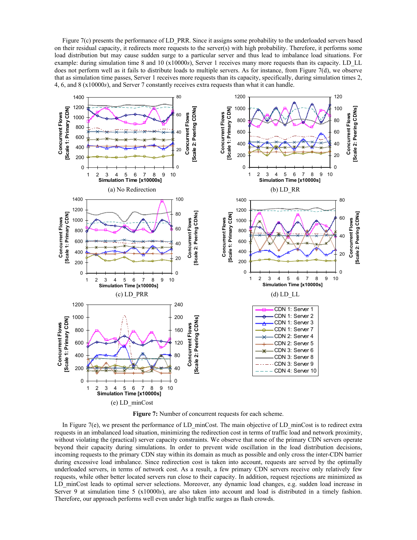Figure 7(c) presents the performance of LD\_PRR. Since it assigns some probability to the underloaded servers based on their residual capacity, it redirects more requests to the server(s) with high probability. Therefore, it performs some load distribution but may cause sudden surge to a particular server and thus lead to imbalance load situations. For example: during simulation time 8 and 10 (x10000*s*), Server 1 receives many more requests than its capacity. LD\_LL does not perform well as it fails to distribute loads to multiple servers. As for instance, from Figure 7(d), we observe that as simulation time passes, Server 1 receives more requests than its capacity, specifically, during simulation times 2, 4, 6, and 8 (x10000*s*), and Server 7 constantly receives extra requests than what it can handle.



**Figure 7:** Number of concurrent requests for each scheme.

In Figure 7(e), we present the performance of LD\_minCost. The main objective of LD\_minCost is to redirect extra requests in an imbalanced load situation, minimizing the redirection cost in terms of traffic load and network proximity, without violating the (practical) server capacity constraints. We observe that none of the primary CDN servers operate beyond their capacity during simulations. In order to prevent wide oscillation in the load distribution decisions, incoming requests to the primary CDN stay within its domain as much as possible and only cross the inter-CDN barrier during excessive load imbalance. Since redirection cost is taken into account, requests are served by the optimally underloaded servers, in terms of network cost. As a result, a few primary CDN servers receive only relatively few requests, while other better located servers run close to their capacity. In addition, request rejections are minimized as LD\_minCost leads to optimal server selections. Moreover, any dynamic load changes, e.g. sudden load increase in Server 9 at simulation time 5 (x10000*s*), are also taken into account and load is distributed in a timely fashion. Therefore, our approach performs well even under high traffic surges as flash crowds.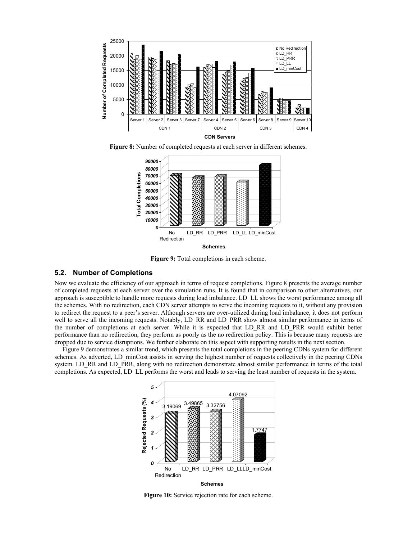

**Figure 8:** Number of completed requests at each server in different schemes.



**Figure 9:** Total completions in each scheme.

### **5.2. Number of Completions**

Now we evaluate the efficiency of our approach in terms of request completions. Figure 8 presents the average number of completed requests at each server over the simulation runs. It is found that in comparison to other alternatives, our approach is susceptible to handle more requests during load imbalance. LD\_LL shows the worst performance among all the schemes. With no redirection, each CDN server attempts to serve the incoming requests to it, without any provision to redirect the request to a peer's server. Although servers are over-utilized during load imbalance, it does not perform well to serve all the incoming requests. Notably, LD\_RR and LD\_PRR show almost similar performance in terms of the number of completions at each server. While it is expected that LD\_RR and LD\_PRR would exhibit better performance than no redirection, they perform as poorly as the no redirection policy. This is because many requests are dropped due to service disruptions. We further elaborate on this aspect with supporting results in the next section.

Figure 9 demonstrates a similar trend, which presents the total completions in the peering CDNs system for different schemes. As adverted, LD\_minCost assists in serving the highest number of requests collectively in the peering CDNs system. LD\_RR and LD\_PRR, along with no redirection demonstrate almost similar performance in terms of the total completions. As expected, LD\_LL performs the worst and leads to serving the least number of requests in the system.



**Figure 10:** Service rejection rate for each scheme.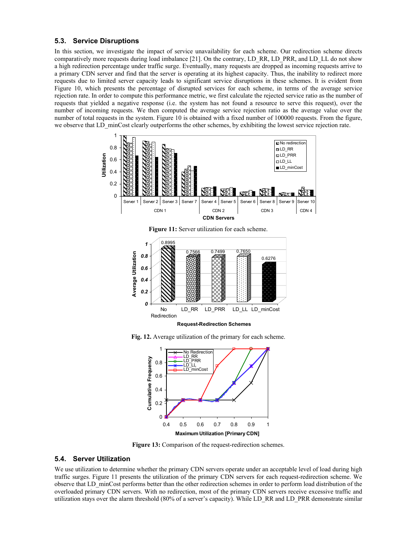### **5.3. Service Disruptions**

In this section, we investigate the impact of service unavailability for each scheme. Our redirection scheme directs comparatively more requests during load imbalance [21]. On the contrary, LD\_RR, LD\_PRR, and LD\_LL do not show a high redirection percentage under traffic surge. Eventually, many requests are dropped as incoming requests arrive to a primary CDN server and find that the server is operating at its highest capacity. Thus, the inability to redirect more requests due to limited server capacity leads to significant service disruptions in these schemes. It is evident from Figure 10, which presents the percentage of disrupted services for each scheme, in terms of the average service rejection rate. In order to compute this performance metric, we first calculate the rejected service ratio as the number of requests that yielded a negative response (i.e. the system has not found a resource to serve this request), over the number of incoming requests. We then computed the average service rejection ratio as the average value over the number of total requests in the system. Figure 10 is obtained with a fixed number of 100000 requests. From the figure, we observe that LD\_minCost clearly outperforms the other schemes, by exhibiting the lowest service rejection rate.









**Figure 13:** Comparison of the request-redirection schemes.

### **5.4. Server Utilization**

We use utilization to determine whether the primary CDN servers operate under an acceptable level of load during high traffic surges. Figure 11 presents the utilization of the primary CDN servers for each request-redirection scheme. We observe that LD\_minCost performs better than the other redirection schemes in order to perform load distribution of the overloaded primary CDN servers. With no redirection, most of the primary CDN servers receive excessive traffic and utilization stays over the alarm threshold (80% of a server's capacity). While LD\_RR and LD\_PRR demonstrate similar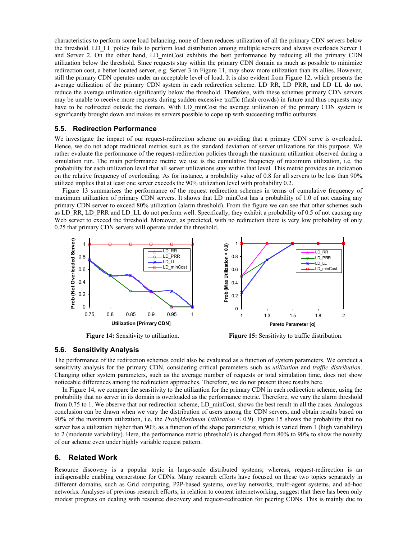characteristics to perform some load balancing, none of them reduces utilization of all the primary CDN servers below the threshold. LD\_LL policy fails to perform load distribution among multiple servers and always overloads Server 1 and Server 2. On the other hand, LD\_minCost exhibits the best performance by reducing all the primary CDN utilization below the threshold. Since requests stay within the primary CDN domain as much as possible to minimize redirection cost, a better located server, e.g. Server 3 in Figure 11, may show more utilization than its allies. However, still the primary CDN operates under an acceptable level of load. It is also evident from Figure 12, which presents the average utilization of the primary CDN system in each redirection scheme. LD\_RR, LD\_PRR, and LD\_LL do not reduce the average utilization significantly below the threshold. Therefore, with these schemes primary CDN servers may be unable to receive more requests during sudden excessive traffic (flash crowds) in future and thus requests may have to be redirected outside the domain. With LD\_minCost the average utilization of the primary CDN system is significantly brought down and makes its servers possible to cope up with succeeding traffic outbursts.

#### **5.5. Redirection Performance**

We investigate the impact of our request-redirection scheme on avoiding that a primary CDN serve is overloaded. Hence, we do not adopt traditional metrics such as the standard deviation of server utilizations for this purpose. We rather evaluate the performance of the request-redirection policies through the maximum utilization observed during a simulation run. The main performance metric we use is the cumulative frequency of maximum utilization, i.e. the probability for each utilization level that all server utilizations stay within that level. This metric provides an indication on the relative frequency of overloading. As for instance, a probability value of 0.8 for all servers to be less than 90% utilized implies that at least one server exceeds the 90% utilization level with probability 0.2.

Figure 13 summarizes the performance of the request redirection schemes in terms of cumulative frequency of maximum utilization of primary CDN servers. It shows that LD minCost has a probability of 1.0 of not causing any primary CDN server to exceed 80% utilization (alarm threshold). From the figure we can see that other schemes such as LD\_RR, LD\_PRR and LD\_LL do not perform well. Specifically, they exhibit a probability of 0.5 of not causing any Web server to exceed the threshold. Moreover, as predicted, with no redirection there is very low probability of only 0.25 that primary CDN servers will operate under the threshold.



**Figure 14:** Sensitivity to utilization. **Figure 15:** Sensitivity to traffic distribution.

### **5.6. Sensitivity Analysis**

The performance of the redirection schemes could also be evaluated as a function of system parameters. We conduct a sensitivity analysis for the primary CDN, considering critical parameters such as *utilization* and *traffic distribution*. Changing other system parameters, such as the average number of requests or total simulation time, does not show noticeable differences among the redirection approaches. Therefore, we do not present those results here.

In Figure 14, we compare the sensitivity to the utilization for the primary CDN in each redirection scheme, using the probability that no server in its domain is overloaded as the performance metric. Therefore, we vary the alarm threshold from 0.75 to 1. We observe that our redirection scheme, LD\_minCost, shows the best result in all the cases. Analogous conclusion can be drawn when we vary the distribution of users among the CDN servers, and obtain results based on 90% of the maximum utilization, i.e. the *Prob*(*Maximum Utilization* < 0.9). Figure 15 shows the probability that no server has a utilization higher than 90% as a function of the shape parameter  $\alpha$ , which is varied from 1 (high variability) to 2 (moderate variability). Here, the performance metric (threshold) is changed from 80% to 90% to show the novelty of our scheme even under highly variable request pattern.

### **6. Related Work**

Resource discovery is a popular topic in large-scale distributed systems; whereas, request-redirection is an indispensable enabling cornerstone for CDNs. Many research efforts have focused on these two topics separately in different domains, such as Grid computing, P2P-based systems, overlay networks, multi-agent systems, and ad-hoc networks. Analyses of previous research efforts, in relation to content internetworking, suggest that there has been only modest progress on dealing with resource discovery and request-redirection for peering CDNs. This is mainly due to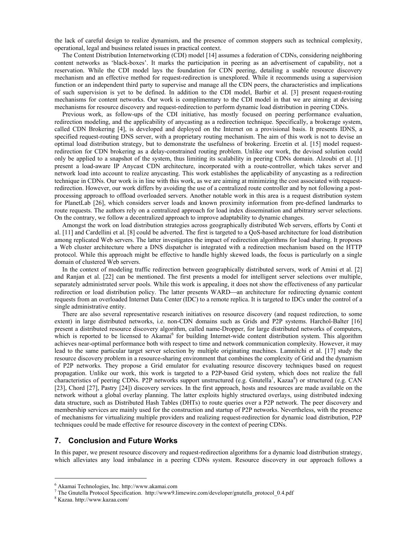the lack of careful design to realize dynamism, and the presence of common stoppers such as technical complexity, operational, legal and business related issues in practical context.

The Content Distribution Internetworking (CDI) model [14] assumes a federation of CDNs, considering neighboring content networks as 'black-boxes'. It marks the participation in peering as an advertisement of capability, not a reservation. While the CDI model lays the foundation for CDN peering, detailing a usable resource discovery mechanism and an effective method for request-redirection is unexplored. While it recommends using a supervision function or an independent third party to supervise and manage all the CDN peers, the characteristics and implications of such supervision is yet to be defined. In addition to the CDI model, Barbir et al. [3] present request-routing mechanisms for content networks. Our work is complimentary to the CDI model in that we are aiming at devising mechanisms for resource discovery and request-redirection to perform dynamic load distribution in peering CDNs.

Previous work, as follow-ups of the CDI initiative, has mostly focused on peering performance evaluation, redirection modeling, and the applicability of anycasting as a redirection technique. Specifically, a brokerage system, called CDN Brokering [4], is developed and deployed on the Internet on a provisional basis. It presents IDNS, a specified request-routing DNS server, with a proprietary routing mechanism. The aim of this work is not to devise an optimal load distribution strategy, but to demonstrate the usefulness of brokering. Ercetin et al. [15] model requestredirection for CDN brokering as a delay-constrained routing problem. Unlike our work, the devised solution could only be applied to a snapshot of the system, thus limiting its scalability in peering CDNs domain. Alzoubi et al. [1] present a load-aware IP Anycast CDN architecture, incorporated with a route-controller, which takes server and network load into account to realize anycasting. This work establishes the applicability of anycasting as a redirection technique in CDNs. Our work is in line with this work, as we are aiming at minimizing the cost associated with requestredirection. However, our work differs by avoiding the use of a centralized route controller and by not following a postprocessing approach to offload overloaded servers. Another notable work in this area is a request distribution system for PlanetLab [26], which considers server loads and known proximity information from pre-defined landmarks to route requests. The authors rely on a centralized approach for load index dissemination and arbitrary server selections. On the contrary, we follow a decentralized approach to improve adaptability to dynamic changes.

Amongst the work on load distribution strategies across geographically distributed Web servers, efforts by Conti et al. [11] and Cardellini et al. [8] could be adverted. The first is targeted to a QoS-based architecture for load distribution among replicated Web servers. The latter investigates the impact of redirection algorithms for load sharing. It proposes a Web cluster architecture where a DNS dispatcher is integrated with a redirection mechanism based on the HTTP protocol. While this approach might be effective to handle highly skewed loads, the focus is particularly on a single domain of clustered Web servers.

In the context of modeling traffic redirection between geographically distributed servers, work of Amini et al. [2] and Ranjan et al. [22] can be mentioned. The first presents a model for intelligent server selections over multiple, separately administrated server pools. While this work is appealing, it does not show the effectiveness of any particular redirection or load distribution policy. The latter presents WARD—an architecture for redirecting dynamic content requests from an overloaded Internet Data Center (IDC) to a remote replica. It is targeted to IDCs under the control of a single administrative entity.

There are also several representative research initiatives on resource discovery (and request redirection, to some extent) in large distributed networks, i.e. non-CDN domains such as Grids and P2P systems. Harchol-Balter [16] present a distributed resource discovery algorithm, called name-Dropper, for large distributed networks of computers, which is reported to be licensed to Akamai<sup>6</sup> for building Internet-wide content distribution system. This algorithm achieves near-optimal performance both with respect to time and network communication complexity. However, it may lead to the same particular target server selection by multiple originating machines. Lamnitchi et al. [17] study the resource discovery problem in a resource-sharing environment that combines the complexity of Grid and the dynamism of P2P networks. They propose a Grid emulator for evaluating resource discovery techniques based on request propagation. Unlike our work, this work is targeted to a P2P-based Grid system, which does not realize the full characteristics of peering CDNs. P2P networks support unstructured (e.g. Gnutella<sup>7</sup>, Kazaa<sup>8</sup>) or structured (e.g. CAN [23], Chord [27], Pastry [24]) discovery services. In the first approach, hosts and resources are made available on the network without a global overlay planning. The latter exploits highly structured overlays, using distributed indexing data structure, such as Distributed Hash Tables (DHTs) to route queries over a P2P network. The peer discovery and membership services are mainly used for the construction and startup of P2P networks. Nevertheless, with the presence of mechanisms for virtualizing multiple providers and realizing request-redirection for dynamic load distribution, P2P techniques could be made effective for resource discovery in the context of peering CDNs.

### **7. Conclusion and Future Works**

In this paper, we present resource discovery and request-redirection algorithms for a dynamic load distribution strategy, which alleviates any load imbalance in a peering CDNs system. Resource discovery in our approach follows a

 $\overline{a}$ 

<sup>6</sup> Akamai Technologies, Inc. http://www.akamai.com

The Gnutella Protocol Specification. http://www9.limewire.com/developer/gnutella\_protocol\_0.4.pdf  $8$  Kerae, http://www.learee.com/

 $^8$ Kazaa. $\text{http://www.kazaa.com/}$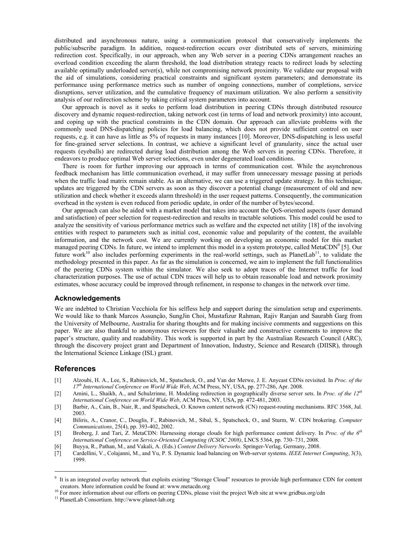distributed and asynchronous nature, using a communication protocol that conservatively implements the public/subscribe paradigm. In addition, request-redirection occurs over distributed sets of servers, minimizing redirection cost. Specifically, in our approach, when any Web server in a peering CDNs arrangement reaches an overload condition exceeding the alarm threshold, the load distribution strategy reacts to redirect loads by selecting available optimally underloaded server(s), while not compromising network proximity. We validate our proposal with the aid of simulations, considering practical constraints and significant system parameters; and demonstrate its performance using performance metrics such as number of ongoing connections, number of completions, service disruptions, server utilization, and the cumulative frequency of maximum utilization. We also perform a sensitivity analysis of our redirection scheme by taking critical system parameters into account.

Our approach is novel as it seeks to perform load distribution in peering CDNs through distributed resource discovery and dynamic request-redirection, taking network cost (in terms of load and network proximity) into account, and coping up with the practical constraints in the CDN domain. Our approach can alleviate problems with the commonly used DNS-dispatching policies for load balancing, which does not provide sufficient control on user requests, e.g. it can have as little as 5% of requests in many instances [10]. Moreover, DNS-dispatching is less useful for fine-grained server selections. In contrast, we achieve a significant level of granularity, since the actual user requests (eyeballs) are redirected during load distribution among the Web servers in peering CDNs. Therefore, it endeavors to produce optimal Web server selections, even under degenerated load conditions.

There is room for further improving our approach in terms of communication cost. While the asynchronous feedback mechanism has little communication overhead, it may suffer from unnecessary message passing at periods when the traffic load matrix remain stable. As an alternative, we can use a triggered update strategy. In this technique, updates are triggered by the CDN servers as soon as they discover a potential change (measurement of old and new utilization and check whether it exceeds alarm threshold) in the user request patterns. Consequently, the communication overhead in the system is even reduced from periodic update, in order of the number of bytes/second.

Our approach can also be aided with a market model that takes into account the QoS-oriented aspects (user demand and satisfaction) of peer selection for request-redirection and results in tractable solutions. This model could be used to analyze the sensitivity of various performance metrics such as welfare and the expected net utility [18] of the involving entities with respect to parameters such as initial cost, economic value and popularity of the content, the available information, and the network cost. We are currently working on developing an economic model for this market managed peering CDNs. In future, we intend to implement this model in a system prototype, called MetaCDN<sup>9</sup> [5]. Our future work<sup>10</sup> also includes performing experiments in the real-world settings, such as PlanetLab<sup>11</sup>, to validate the methodology presented in this paper. As far as the simulation is concerned, we aim to implement the full functionalities of the peering CDNs system within the simulator. We also seek to adopt traces of the Internet traffic for load characterization purposes. The use of actual CDN traces will help us to obtain reasonable load and network proximity estimates, whose accuracy could be improved through refinement, in response to changes in the network over time.

#### **Acknowledgements**

We are indebted to Christian Vecchiola for his selfless help and support during the simulation setup and experiments. We would like to thank Marcos Assunção, SungJin Choi, Mustafizur Rahman, Rajiv Ranjan and Saurabh Garg from the University of Melbourne, Australia for sharing thoughts and for making incisive comments and suggestions on this paper. We are also thankful to anonymous reviewers for their valuable and constructive comments to improve the paper's structure, quality and readability. This work is supported in part by the Australian Research Council (ARC), through the discovery project grant and Department of Innovation, Industry, Science and Research (DIISR), through the International Science Linkage (ISL) grant.

#### **References**

 $\overline{a}$ 

- [1] Alzoubi, H. A., Lee, S., Rabinovich, M., Spatscheck, O., and Van der Merwe, J. E. Anycast CDNs revisited. In *Proc. of the 17th International Conference on World Wide Web*, ACM Press, NY, USA, pp. 277-286, Apr. 2008.
- [2] Amini, L., Shaikh, A., and Schulzrinne, H. Modeling redirection in geographically diverse server sets. In *Proc. of the 12th International Conference on World Wide Web*, ACM Press, NY, USA, pp. 472-481, 2003.
- [3] Barbir, A., Cain, B., Nair, R., and Spatscheck, O. Known content network (CN) request-routing mechanisms. RFC 3568, Jul. 2003.
- [4] Biliris, A., Cranor, C., Douglis, F., Rabinovich, M., Sibal, S., Spatscheck, O., and Sturm, W. CDN brokering. *Computer Communications*, 25(4), pp. 393-402, 2002.
- [5] Broberg, J. and Tari, Z. MetaCDN: Harnessing storage clouds for high performance content delivery. In *Proc. of the 6th International Conference on Service-Oriented Computing (ICSOC 2008)*, LNCS 5364, pp. 730–731, 2008.
- [6] Buyya, R., Pathan, M., and Vakali, A. (Eds.) *Content Delivery Networks*. Springer-Verlag, Germany, 2008.
- [7] Cardellini, V., Colajanni, M., and Yu, P. S. Dynamic load balancing on Web-server systems. *IEEE Internet Computing*, 3(3), 1999.

<sup>&</sup>lt;sup>9</sup> It is an integrated overlay network that exploits existing "Storage Cloud" resources to provide high performance CDN for content creators. More information could be found at: www.metacdn.org<br><sup>10</sup> For more information about our efforts on peering CDNs, please visit the project Web site at www.gridbus.org/cdn<br><sup>11</sup> PlanetLab Consortium. http://www.plan